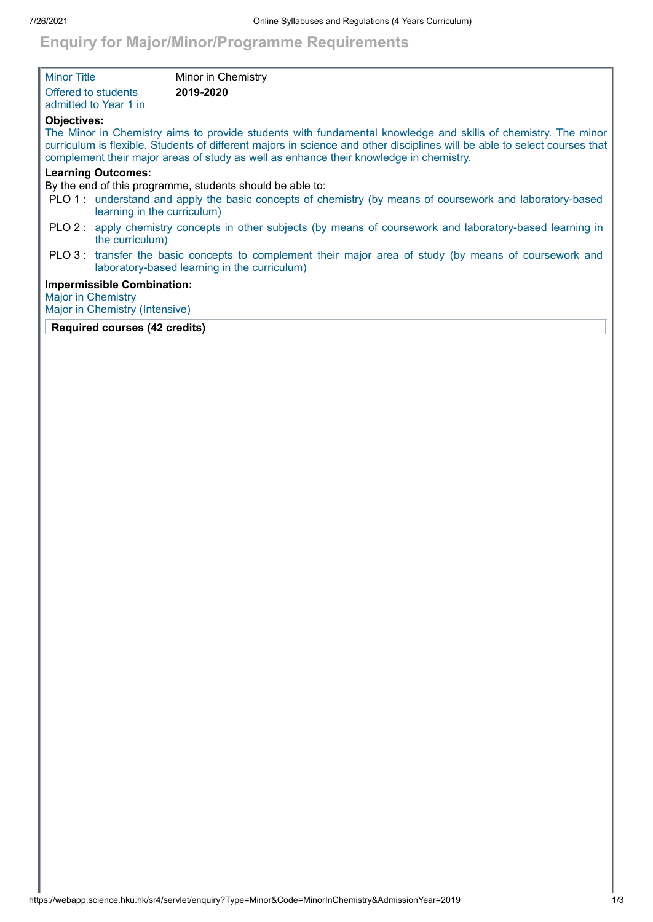## **Enquiry for Major/Minor/Programme Requirements**

| <b>Minor Title</b>        |                                                                     | Minor in Chemistry                                                                                                                                                                                                                                                                                                                   |
|---------------------------|---------------------------------------------------------------------|--------------------------------------------------------------------------------------------------------------------------------------------------------------------------------------------------------------------------------------------------------------------------------------------------------------------------------------|
| Offered to students       | admitted to Year 1 in                                               | 2019-2020                                                                                                                                                                                                                                                                                                                            |
| <b>Objectives:</b>        |                                                                     | The Minor in Chemistry aims to provide students with fundamental knowledge and skills of chemistry. The minor<br>curriculum is flexible. Students of different majors in science and other disciplines will be able to select courses that<br>complement their major areas of study as well as enhance their knowledge in chemistry. |
|                           | <b>Learning Outcomes:</b>                                           | By the end of this programme, students should be able to:                                                                                                                                                                                                                                                                            |
|                           | learning in the curriculum)                                         | PLO 1: understand and apply the basic concepts of chemistry (by means of coursework and laboratory-based                                                                                                                                                                                                                             |
|                           | the curriculum)                                                     | PLO 2: apply chemistry concepts in other subjects (by means of coursework and laboratory-based learning in                                                                                                                                                                                                                           |
|                           |                                                                     | PLO 3: transfer the basic concepts to complement their major area of study (by means of coursework and<br>laboratory-based learning in the curriculum)                                                                                                                                                                               |
| <b>Major in Chemistry</b> | <b>Impermissible Combination:</b><br>Major in Chemistry (Intensive) |                                                                                                                                                                                                                                                                                                                                      |

## **Required courses (42 credits)**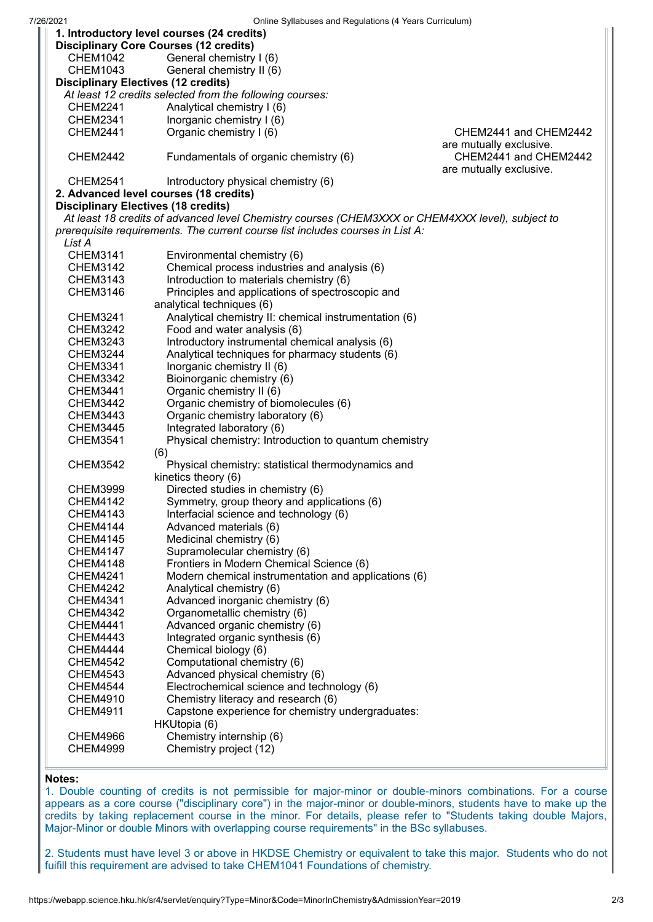| UTIME Synabuses and Regulations (4 Tears Curriculum)<br>1. Introductory level courses (24 credits) |                                                       |                                                  |  |  |  |
|----------------------------------------------------------------------------------------------------|-------------------------------------------------------|--------------------------------------------------|--|--|--|
| <b>Disciplinary Core Courses (12 credits)</b>                                                      |                                                       |                                                  |  |  |  |
| <b>CHEM1042</b>                                                                                    | General chemistry I (6)                               |                                                  |  |  |  |
| <b>CHEM1043</b>                                                                                    | General chemistry II (6)                              |                                                  |  |  |  |
| <b>Disciplinary Electives (12 credits)</b>                                                         |                                                       |                                                  |  |  |  |
| At least 12 credits selected from the following courses:                                           |                                                       |                                                  |  |  |  |
| <b>CHEM2241</b>                                                                                    | Analytical chemistry I (6)                            |                                                  |  |  |  |
| <b>CHEM2341</b>                                                                                    | Inorganic chemistry I (6)                             |                                                  |  |  |  |
| <b>CHEM2441</b>                                                                                    | Organic chemistry I (6)                               | CHEM2441 and CHEM2442                            |  |  |  |
| are mutually exclusive.                                                                            |                                                       |                                                  |  |  |  |
| <b>CHEM2442</b>                                                                                    | Fundamentals of organic chemistry (6)                 | CHEM2441 and CHEM2442<br>are mutually exclusive. |  |  |  |
| <b>CHEM2541</b>                                                                                    | Introductory physical chemistry (6)                   |                                                  |  |  |  |
|                                                                                                    | 2. Advanced level courses (18 credits)                |                                                  |  |  |  |
| <b>Disciplinary Electives (18 credits)</b>                                                         |                                                       |                                                  |  |  |  |
| At least 18 credits of advanced level Chemistry courses (CHEM3XXX or CHEM4XXX level), subject to   |                                                       |                                                  |  |  |  |
| prerequisite requirements. The current course list includes courses in List A:                     |                                                       |                                                  |  |  |  |
| List A                                                                                             |                                                       |                                                  |  |  |  |
| <b>CHEM3141</b>                                                                                    | Environmental chemistry (6)                           |                                                  |  |  |  |
| <b>CHEM3142</b>                                                                                    | Chemical process industries and analysis (6)          |                                                  |  |  |  |
| CHEM3143                                                                                           | Introduction to materials chemistry (6)               |                                                  |  |  |  |
| <b>CHEM3146</b>                                                                                    | Principles and applications of spectroscopic and      |                                                  |  |  |  |
|                                                                                                    | analytical techniques (6)                             |                                                  |  |  |  |
| <b>CHEM3241</b>                                                                                    | Analytical chemistry II: chemical instrumentation (6) |                                                  |  |  |  |
| <b>CHEM3242</b>                                                                                    | Food and water analysis (6)                           |                                                  |  |  |  |
| <b>CHEM3243</b>                                                                                    | Introductory instrumental chemical analysis (6)       |                                                  |  |  |  |
| <b>CHEM3244</b>                                                                                    | Analytical techniques for pharmacy students (6)       |                                                  |  |  |  |
| CHEM3341                                                                                           | Inorganic chemistry II (6)                            |                                                  |  |  |  |
| <b>CHEM3342</b>                                                                                    | Bioinorganic chemistry (6)                            |                                                  |  |  |  |
| <b>CHEM3441</b>                                                                                    | Organic chemistry II (6)                              |                                                  |  |  |  |
| <b>CHEM3442</b>                                                                                    | Organic chemistry of biomolecules (6)                 |                                                  |  |  |  |
| <b>CHEM3443</b>                                                                                    | Organic chemistry laboratory (6)                      |                                                  |  |  |  |
| <b>CHEM3445</b>                                                                                    | Integrated laboratory (6)                             |                                                  |  |  |  |
| <b>CHEM3541</b>                                                                                    | Physical chemistry: Introduction to quantum chemistry |                                                  |  |  |  |
|                                                                                                    | (6)                                                   |                                                  |  |  |  |
| <b>CHEM3542</b>                                                                                    | Physical chemistry: statistical thermodynamics and    |                                                  |  |  |  |
|                                                                                                    | kinetics theory (6)                                   |                                                  |  |  |  |
| <b>CHEM3999</b>                                                                                    | Directed studies in chemistry (6)                     |                                                  |  |  |  |
| <b>CHEM4142</b>                                                                                    | Symmetry, group theory and applications (6)           |                                                  |  |  |  |
| <b>CHEM4143</b>                                                                                    | Interfacial science and technology (6)                |                                                  |  |  |  |
| CHEM4144                                                                                           | Advanced materials (6)                                |                                                  |  |  |  |
| <b>CHEM4145</b>                                                                                    | Medicinal chemistry (6)                               |                                                  |  |  |  |
| <b>CHEM4147</b>                                                                                    | Supramolecular chemistry (6)                          |                                                  |  |  |  |
| CHEM4148                                                                                           | Frontiers in Modern Chemical Science (6)              |                                                  |  |  |  |
| <b>CHEM4241</b>                                                                                    | Modern chemical instrumentation and applications (6)  |                                                  |  |  |  |
| <b>CHEM4242</b>                                                                                    | Analytical chemistry (6)                              |                                                  |  |  |  |
| <b>CHEM4341</b>                                                                                    | Advanced inorganic chemistry (6)                      |                                                  |  |  |  |
| <b>CHEM4342</b>                                                                                    | Organometallic chemistry (6)                          |                                                  |  |  |  |
| <b>CHEM4441</b>                                                                                    | Advanced organic chemistry (6)                        |                                                  |  |  |  |
| <b>CHEM4443</b>                                                                                    | Integrated organic synthesis (6)                      |                                                  |  |  |  |
| <b>CHEM4444</b>                                                                                    | Chemical biology (6)                                  |                                                  |  |  |  |
| <b>CHEM4542</b>                                                                                    | Computational chemistry (6)                           |                                                  |  |  |  |
| <b>CHEM4543</b>                                                                                    | Advanced physical chemistry (6)                       |                                                  |  |  |  |
| CHEM4544                                                                                           | Electrochemical science and technology (6)            |                                                  |  |  |  |
| <b>CHEM4910</b>                                                                                    | Chemistry literacy and research (6)                   |                                                  |  |  |  |
| <b>CHEM4911</b>                                                                                    | Capstone experience for chemistry undergraduates:     |                                                  |  |  |  |
|                                                                                                    | HKUtopia (6)                                          |                                                  |  |  |  |
| <b>CHEM4966</b>                                                                                    | Chemistry internship (6)                              |                                                  |  |  |  |
| <b>CHEM4999</b>                                                                                    | Chemistry project (12)                                |                                                  |  |  |  |
|                                                                                                    |                                                       |                                                  |  |  |  |

## **Notes:**

1. Double counting of credits is not permissible for major-minor or double-minors combinations. For a course appears as a core course ("disciplinary core") in the major-minor or double-minors, students have to make up the credits by taking replacement course in the minor. For details, please refer to "Students taking double Majors, Major-Minor or double Minors with overlapping course requirements" in the BSc syllabuses.

2. Students must have level 3 or above in HKDSE Chemistry or equivalent to take this major. Students who do not fuifill this requirement are advised to take CHEM1041 Foundations of chemistry.